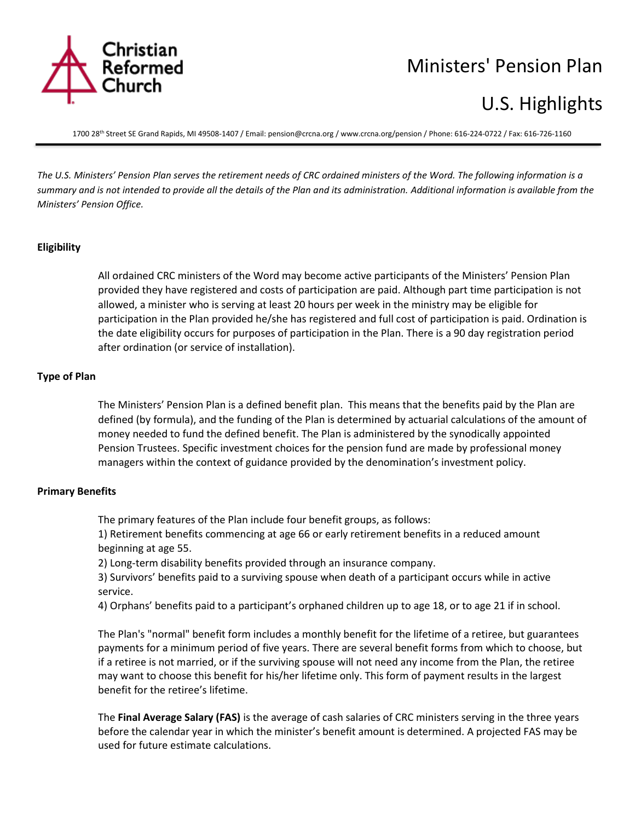

# Ministers' Pension Plan

# U.S. Highlights

1700 28th Street SE Grand Rapids, MI 49508-1407 / Email[: pension@crcna.org](mailto:pension@crcna.org) / www.crcna.org/pension / Phone: 616-224-0722 / Fax: 616-726-1160

*The U.S. Ministers' Pension Plan serves the retirement needs of CRC ordained ministers of the Word. The following information is a summary and is not intended to provide all the details of the Plan and its administration. Additional information is available from the Ministers' Pension Office.*

#### **Eligibility**

All ordained CRC ministers of the Word may become active participants of the Ministers' Pension Plan provided they have registered and costs of participation are paid. Although part time participation is not allowed, a minister who is serving at least 20 hours per week in the ministry may be eligible for participation in the Plan provided he/she has registered and full cost of participation is paid. Ordination is the date eligibility occurs for purposes of participation in the Plan. There is a 90 day registration period after ordination (or service of installation).

#### **Type of Plan**

The Ministers' Pension Plan is a defined benefit plan. This means that the benefits paid by the Plan are defined (by formula), and the funding of the Plan is determined by actuarial calculations of the amount of money needed to fund the defined benefit. The Plan is administered by the synodically appointed Pension Trustees. Specific investment choices for the pension fund are made by professional money managers within the context of guidance provided by the denomination's investment policy.

#### **Primary Benefits**

The primary features of the Plan include four benefit groups, as follows:

1) Retirement benefits commencing at age 66 or early retirement benefits in a reduced amount beginning at age 55.

2) Long-term disability benefits provided through an insurance company.

3) Survivors' benefits paid to a surviving spouse when death of a participant occurs while in active service.

4) Orphans' benefits paid to a participant's orphaned children up to age 18, or to age 21 if in school.

The Plan's "normal" benefit form includes a monthly benefit for the lifetime of a retiree, but guarantees payments for a minimum period of five years. There are several benefit forms from which to choose, but if a retiree is not married, or if the surviving spouse will not need any income from the Plan, the retiree may want to choose this benefit for his/her lifetime only. This form of payment results in the largest benefit for the retiree's lifetime.

The **Final Average Salary (FAS)** is the average of cash salaries of CRC ministers serving in the three years before the calendar year in which the minister's benefit amount is determined. A projected FAS may be used for future estimate calculations.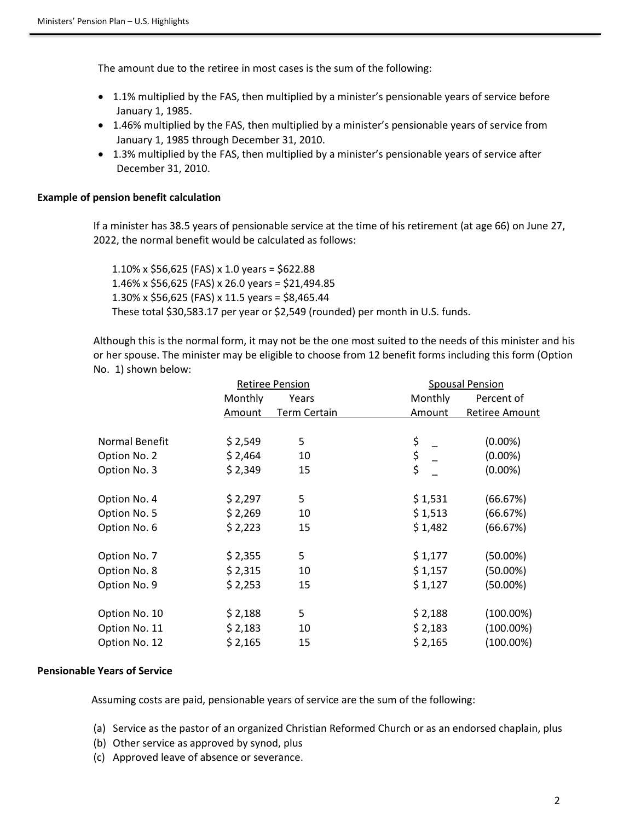The amount due to the retiree in most cases is the sum of the following:

- 1.1% multiplied by the FAS, then multiplied by a minister's pensionable years of service before January 1, 1985.
- 1.46% multiplied by the FAS, then multiplied by a minister's pensionable years of service from January 1, 1985 through December 31, 2010.
- 1.3% multiplied by the FAS, then multiplied by a minister's pensionable years of service after December 31, 2010.

### **Example of pension benefit calculation**

If a minister has 38.5 years of pensionable service at the time of his retirement (at age 66) on June 27, 2022, the normal benefit would be calculated as follows:

1.10% x \$56,625 (FAS) x 1.0 years = \$622.88 1.46% x \$56,625 (FAS) x 26.0 years = \$21,494.85 1.30% x \$56,625 (FAS) x 11.5 years = \$8,465.44 These total \$30,583.17 per year or \$2,549 (rounded) per month in U.S. funds.

Although this is the normal form, it may not be the one most suited to the needs of this minister and his or her spouse. The minister may be eligible to choose from 12 benefit forms including this form (Option No. 1) shown below:

|                | <b>Retiree Pension</b> |              | <b>Spousal Pension</b> |                |
|----------------|------------------------|--------------|------------------------|----------------|
|                | Monthly                | Years        | Monthly                | Percent of     |
|                | Amount                 | Term Certain | Amount                 | Retiree Amount |
|                |                        |              |                        |                |
| Normal Benefit | \$2,549                | 5            | \$                     | $(0.00\%)$     |
| Option No. 2   | \$2,464                | 10           | $\frac{5}{5}$          | $(0.00\%)$     |
| Option No. 3   | \$2,349                | 15           |                        | $(0.00\%)$     |
| Option No. 4   | \$2,297                | 5            | \$1,531                | (66.67%)       |
| Option No. 5   | \$2,269                | 10           | \$1,513                | (66.67%)       |
| Option No. 6   | \$2,223                | 15           | \$1,482                | (66.67%)       |
| Option No. 7   | \$2,355                | 5            | \$1,177                | $(50.00\%)$    |
| Option No. 8   | \$2,315                | 10           | \$1,157                | $(50.00\%)$    |
| Option No. 9   | \$2,253                | 15           | \$1,127                | $(50.00\%)$    |
| Option No. 10  | \$2,188                | 5            | \$2,188                | $(100.00\%)$   |
| Option No. 11  | \$2,183                | 10           | \$2,183                | $(100.00\%)$   |
| Option No. 12  | \$2,165                | 15           | \$2,165                | $(100.00\%)$   |

#### **Pensionable Years of Service**

Assuming costs are paid, pensionable years of service are the sum of the following:

- (a) Service as the pastor of an organized Christian Reformed Church or as an endorsed chaplain, plus
- (b) Other service as approved by synod, plus
- (c) Approved leave of absence or severance.